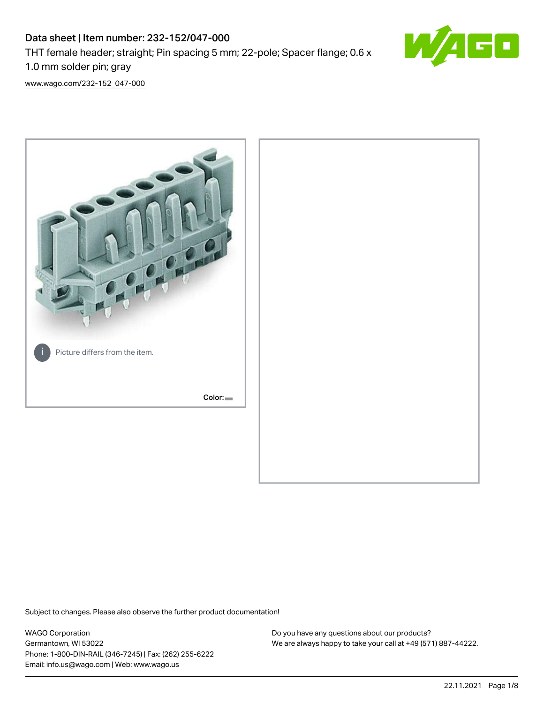# Data sheet | Item number: 232-152/047-000 THT female header; straight; Pin spacing 5 mm; 22-pole; Spacer flange; 0.6 x 1.0 mm solder pin; gray



[www.wago.com/232-152\\_047-000](http://www.wago.com/232-152_047-000)



Subject to changes. Please also observe the further product documentation!

WAGO Corporation Germantown, WI 53022 Phone: 1-800-DIN-RAIL (346-7245) | Fax: (262) 255-6222 Email: info.us@wago.com | Web: www.wago.us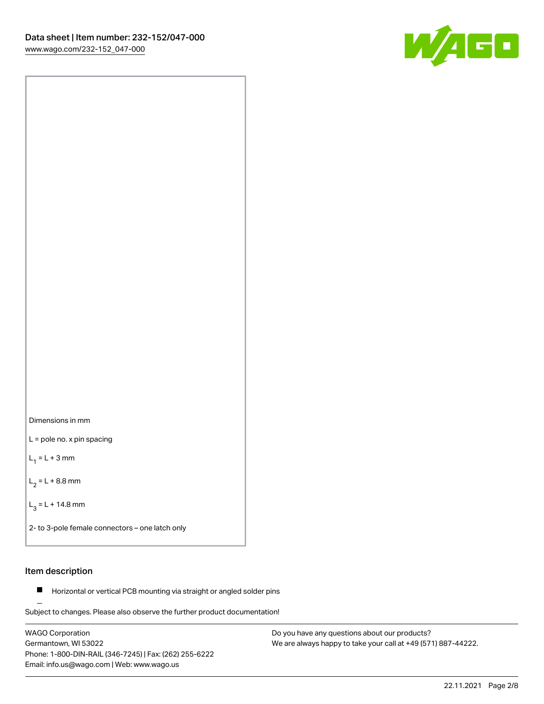



L = pole no. x pin spacing

 $L_1 = L + 3$  mm

 $L_2 = L + 8.8$  mm

 $L_3 = L + 14.8$  mm

2- to 3-pole female connectors – one latch only

## Item description

**Horizontal or vertical PCB mounting via straight or angled solder pins** 

Subject to changes. Please also observe the further product documentation! For board-to-board and board-to-wire connections

WAGO Corporation Germantown, WI 53022 Phone: 1-800-DIN-RAIL (346-7245) | Fax: (262) 255-6222 Email: info.us@wago.com | Web: www.wago.us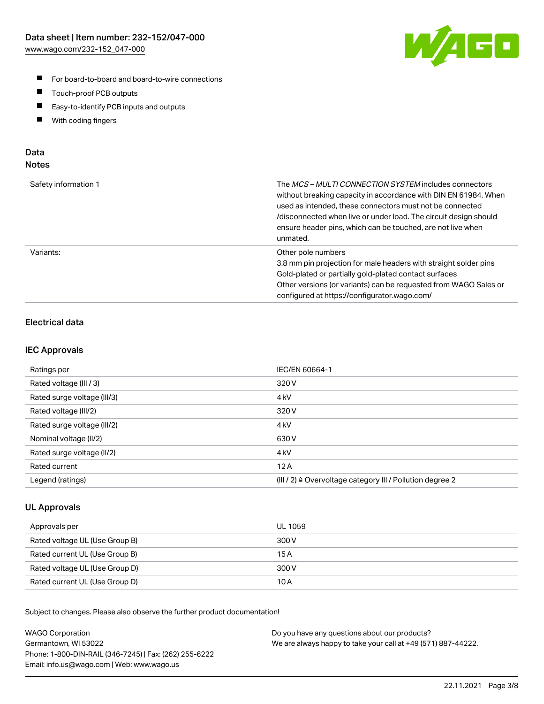

- For board-to-board and board-to-wire connections
- $\blacksquare$ Touch-proof PCB outputs
- $\blacksquare$ Easy-to-identify PCB inputs and outputs
- $\blacksquare$ With coding fingers

## Data **Notes**

| Safety information 1 | The <i>MCS – MULTI CONNECTION SYSTEM</i> includes connectors<br>without breaking capacity in accordance with DIN EN 61984. When<br>used as intended, these connectors must not be connected<br>/disconnected when live or under load. The circuit design should<br>ensure header pins, which can be touched, are not live when<br>unmated. |
|----------------------|--------------------------------------------------------------------------------------------------------------------------------------------------------------------------------------------------------------------------------------------------------------------------------------------------------------------------------------------|
| Variants:            | Other pole numbers<br>3.8 mm pin projection for male headers with straight solder pins<br>Gold-plated or partially gold-plated contact surfaces<br>Other versions (or variants) can be requested from WAGO Sales or<br>configured at https://configurator.wago.com/                                                                        |

# Electrical data

### IEC Approvals

| Ratings per                 | IEC/EN 60664-1                                                        |
|-----------------------------|-----------------------------------------------------------------------|
| Rated voltage (III / 3)     | 320 V                                                                 |
| Rated surge voltage (III/3) | 4 <sub>k</sub> V                                                      |
| Rated voltage (III/2)       | 320 V                                                                 |
| Rated surge voltage (III/2) | 4 <sub>k</sub> V                                                      |
| Nominal voltage (II/2)      | 630 V                                                                 |
| Rated surge voltage (II/2)  | 4 <sub>kV</sub>                                                       |
| Rated current               | 12A                                                                   |
| Legend (ratings)            | $(III / 2)$ $\triangle$ Overvoltage category III / Pollution degree 2 |

## UL Approvals

| Approvals per                  | UL 1059 |
|--------------------------------|---------|
| Rated voltage UL (Use Group B) | 300 V   |
| Rated current UL (Use Group B) | 15A     |
| Rated voltage UL (Use Group D) | 300 V   |
| Rated current UL (Use Group D) | 10 A    |

Subject to changes. Please also observe the further product documentation!

| <b>WAGO Corporation</b>                                | Do you have any questions about our products?                 |
|--------------------------------------------------------|---------------------------------------------------------------|
| Germantown, WI 53022                                   | We are always happy to take your call at +49 (571) 887-44222. |
| Phone: 1-800-DIN-RAIL (346-7245)   Fax: (262) 255-6222 |                                                               |
| Email: info.us@wago.com   Web: www.wago.us             |                                                               |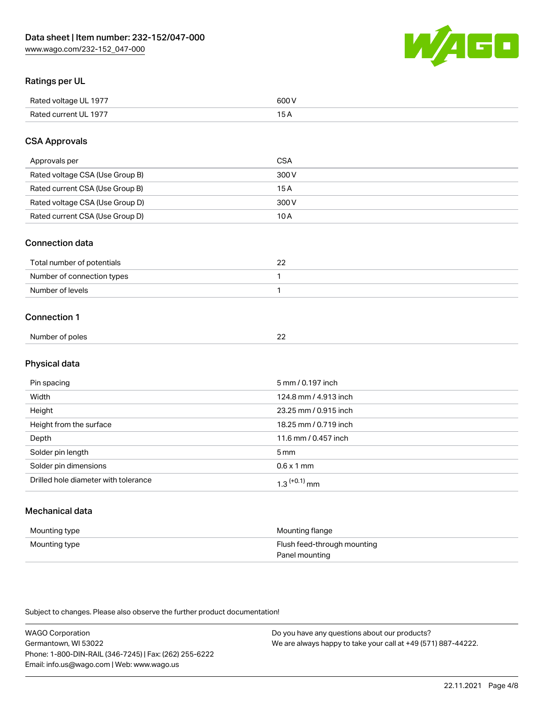

## Ratings per UL

| Rated voltage UL 1977 | 600 \<br>.   |
|-----------------------|--------------|
| Rated current UL 1977 | . . <i>.</i> |

## CSA Approvals

| Approvals per                   | CSA   |
|---------------------------------|-------|
| Rated voltage CSA (Use Group B) | 300 V |
| Rated current CSA (Use Group B) | 15 A  |
| Rated voltage CSA (Use Group D) | 300 V |
| Rated current CSA (Use Group D) | 10 A  |

#### Connection data

| Total number of potentials |  |
|----------------------------|--|
| Number of connection types |  |
| Number of levels           |  |

#### Connection 1

| Number of poles | $\sim$ |  |
|-----------------|--------|--|
|                 | ے      |  |

# Physical data

| Pin spacing                          | 5 mm / 0.197 inch          |
|--------------------------------------|----------------------------|
| Width                                | 124.8 mm / 4.913 inch      |
| Height                               | 23.25 mm / 0.915 inch      |
| Height from the surface              | 18.25 mm / 0.719 inch      |
| Depth                                | 11.6 mm / 0.457 inch       |
| Solder pin length                    | 5 mm                       |
| Solder pin dimensions                | $0.6 \times 1$ mm          |
| Drilled hole diameter with tolerance | $1.3$ <sup>(+0.1)</sup> mm |

# Mechanical data

| Mounting type | Mounting flange             |
|---------------|-----------------------------|
| Mounting type | Flush feed-through mounting |
|               | Panel mounting              |

Subject to changes. Please also observe the further product documentation!

| <b>WAGO Corporation</b>                                | Do you have any questions about our products?                 |
|--------------------------------------------------------|---------------------------------------------------------------|
| Germantown, WI 53022                                   | We are always happy to take your call at +49 (571) 887-44222. |
| Phone: 1-800-DIN-RAIL (346-7245)   Fax: (262) 255-6222 |                                                               |
| Email: info.us@wago.com   Web: www.wago.us             |                                                               |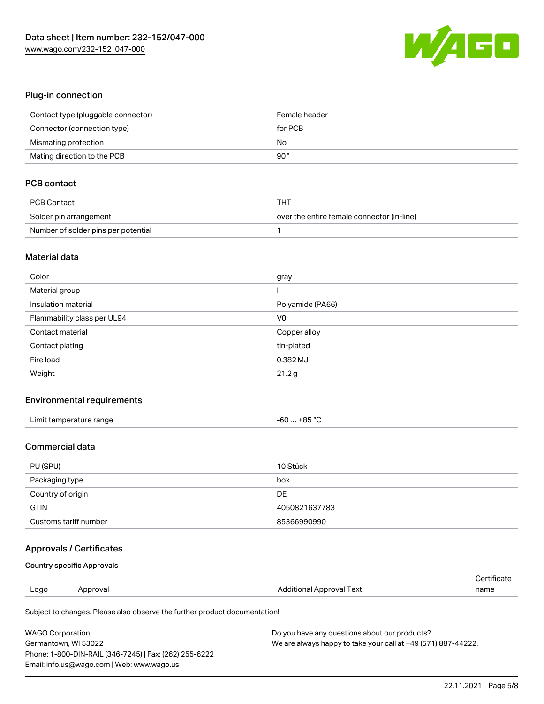

## Plug-in connection

| Contact type (pluggable connector) | Female header |
|------------------------------------|---------------|
| Connector (connection type)        | for PCB       |
| Mismating protection               | No            |
| Mating direction to the PCB        | 90°           |

# PCB contact

| PCB Contact                         | THT                                        |
|-------------------------------------|--------------------------------------------|
| Solder pin arrangement              | over the entire female connector (in-line) |
| Number of solder pins per potential |                                            |

#### Material data

| Color                       | gray             |
|-----------------------------|------------------|
| Material group              |                  |
| Insulation material         | Polyamide (PA66) |
| Flammability class per UL94 | V <sub>0</sub>   |
| Contact material            | Copper alloy     |
| Contact plating             | tin-plated       |
| Fire load                   | 0.382 MJ         |
| Weight                      | 21.2g            |

### Environmental requirements

| Limit temperature range | -60  +85 °C |
|-------------------------|-------------|
|-------------------------|-------------|

#### Commercial data

| PU (SPU)              | 10 Stück      |
|-----------------------|---------------|
| Packaging type        | box           |
| Country of origin     | <b>DE</b>     |
| <b>GTIN</b>           | 4050821637783 |
| Customs tariff number | 85366990990   |

## Approvals / Certificates

#### Country specific Approvals

|      |          |                          | ∩ertificate |
|------|----------|--------------------------|-------------|
| Logo | Approval | Additional Approval Text | name        |
|      |          |                          |             |

Subject to changes. Please also observe the further product documentation!

| <b>WAGO Corporation</b>                                | Do you have any questions about our products?                 |
|--------------------------------------------------------|---------------------------------------------------------------|
| Germantown, WI 53022                                   | We are always happy to take your call at +49 (571) 887-44222. |
| Phone: 1-800-DIN-RAIL (346-7245)   Fax: (262) 255-6222 |                                                               |
| Email: info.us@wago.com   Web: www.wago.us             |                                                               |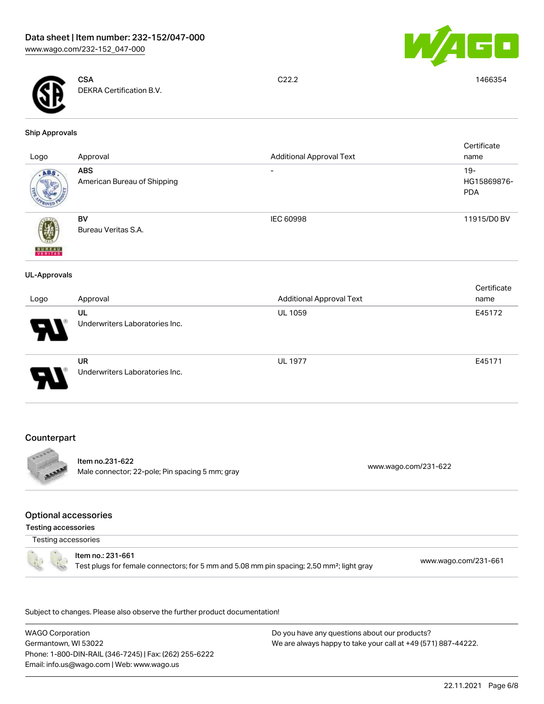



**CSA** DEKRA Certification B.V.

C22.2 1466354

#### Ship Approvals

| Logo                | Approval                                    | <b>Additional Approval Text</b> | Certificate<br>name                 |
|---------------------|---------------------------------------------|---------------------------------|-------------------------------------|
| ABS.                | <b>ABS</b><br>American Bureau of Shipping   | $\overline{\phantom{0}}$        | $19 -$<br>HG15869876-<br><b>PDA</b> |
| <b>BUREAU</b>       | BV<br>Bureau Veritas S.A.                   | IEC 60998                       | 11915/D0 BV                         |
| <b>UL-Approvals</b> |                                             |                                 |                                     |
| Logo                | Approval                                    | <b>Additional Approval Text</b> | Certificate<br>name                 |
|                     | UL<br>Underwriters Laboratories Inc.        | UL 1059                         | E45172                              |
|                     | <b>UR</b><br>Underwriters Laboratories Inc. | <b>UL 1977</b>                  | E45171                              |

## **Counterpart**



#### Item no.231-622 Male connector; 22-pole; Pin spacing 5 mm; gray [www.wago.com/231-622](https://www.wago.com/231-622) www.wago.com/231-622

#### Optional accessories

Testing accessories

Testing accessories



#### Item no.: 231-661 Test plugs for female connectors; for 5 mm and 5.08 mm pin spacing; 2,50 mm²; light gray [www.wago.com/231-661](http://www.wago.com/231-661)

.<br>Subject to changes. Please also observe the further product documentation!

WAGO Corporation Germantown, WI 53022 Phone: 1-800-DIN-RAIL (346-7245) | Fax: (262) 255-6222 Email: info.us@wago.com | Web: www.wago.us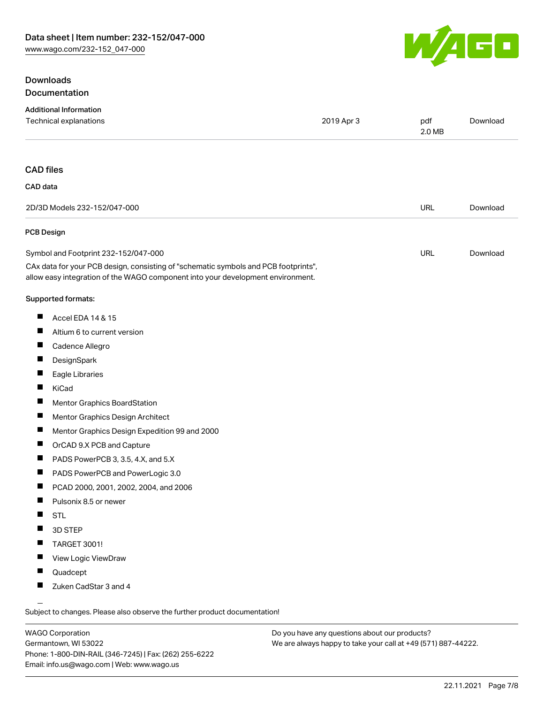## **Downloads** Documentation



| <b>Additional Information</b><br>Technical explanations                                                                                                                | 2019 Apr 3 | pdf        | Download |
|------------------------------------------------------------------------------------------------------------------------------------------------------------------------|------------|------------|----------|
|                                                                                                                                                                        |            | 2.0 MB     |          |
| <b>CAD files</b>                                                                                                                                                       |            |            |          |
| CAD data                                                                                                                                                               |            |            |          |
| 2D/3D Models 232-152/047-000                                                                                                                                           |            | <b>URL</b> | Download |
| <b>PCB Design</b>                                                                                                                                                      |            |            |          |
| Symbol and Footprint 232-152/047-000                                                                                                                                   |            | URL        | Download |
| CAx data for your PCB design, consisting of "schematic symbols and PCB footprints",<br>allow easy integration of the WAGO component into your development environment. |            |            |          |
| Supported formats:                                                                                                                                                     |            |            |          |
| ш<br>Accel EDA 14 & 15                                                                                                                                                 |            |            |          |
| ш<br>Altium 6 to current version                                                                                                                                       |            |            |          |
| a ka<br>Cadence Allegro                                                                                                                                                |            |            |          |
| Ц<br>DesignSpark                                                                                                                                                       |            |            |          |
| ш<br>Eagle Libraries                                                                                                                                                   |            |            |          |
| П<br>KiCad                                                                                                                                                             |            |            |          |
| ш<br>Mentor Graphics BoardStation                                                                                                                                      |            |            |          |
| ш<br>Mentor Graphics Design Architect                                                                                                                                  |            |            |          |
| ш<br>Mentor Graphics Design Expedition 99 and 2000                                                                                                                     |            |            |          |
| ш<br>OrCAD 9.X PCB and Capture                                                                                                                                         |            |            |          |
| ш<br>PADS PowerPCB 3, 3.5, 4.X, and 5.X                                                                                                                                |            |            |          |
| ш<br>PADS PowerPCB and PowerLogic 3.0                                                                                                                                  |            |            |          |
| ш<br>PCAD 2000, 2001, 2002, 2004, and 2006                                                                                                                             |            |            |          |
| ш<br>Pulsonix 8.5 or newer                                                                                                                                             |            |            |          |
| ш<br><b>STL</b>                                                                                                                                                        |            |            |          |
| 3D STEP<br>ш                                                                                                                                                           |            |            |          |
| TARGET 3001!                                                                                                                                                           |            |            |          |
| View Logic ViewDraw<br>ш                                                                                                                                               |            |            |          |
| Quadcept<br>ш                                                                                                                                                          |            |            |          |
| Zuken CadStar 3 and 4                                                                                                                                                  |            |            |          |
| $\overline{\phantom{0}}$                                                                                                                                               |            |            |          |

Subject to changes. Please also observe the further product documentation!

WAGO Corporation Germantown, WI 53022 Phone: 1-800-DIN-RAIL (346-7245) | Fax: (262) 255-6222 Email: info.us@wago.com | Web: www.wago.us